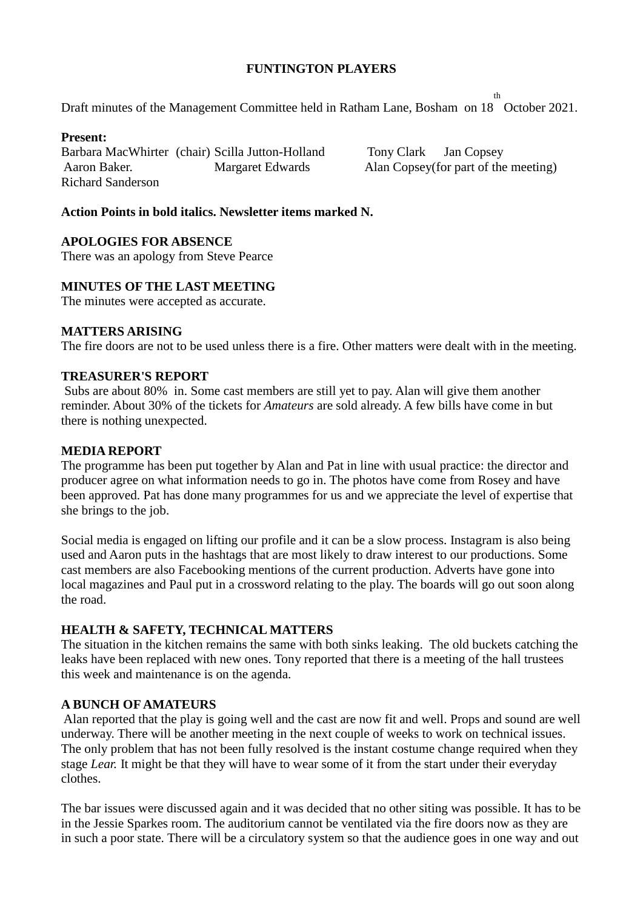# **FUNTINGTON PLAYERS**

Draft minutes of the Management Committee held in Ratham Lane, Bosham on 18 October 2021.

#### **Present:**

Barbara MacWhirter (chair) Scilla Jutton-Holland Tony Clark Jan Copsey Aaron Baker. Margaret Edwards Alan Copsey(for part of the meeting) Richard Sanderson

th

# **Action Points in bold italics. Newsletter items marked N.**

## **APOLOGIES FOR ABSENCE**

There was an apology from Steve Pearce

#### **MINUTES OF THE LAST MEETING**

The minutes were accepted as accurate.

# **MATTERS ARISING**

The fire doors are not to be used unless there is a fire. Other matters were dealt with in the meeting.

#### **TREASURER'S REPORT**

Subs are about 80% in. Some cast members are still yet to pay. Alan will give them another reminder. About 30% of the tickets for *Amateurs* are sold already. A few bills have come in but there is nothing unexpected.

#### **MEDIA REPORT**

The programme has been put together by Alan and Pat in line with usual practice: the director and producer agree on what information needs to go in. The photos have come from Rosey and have been approved. Pat has done many programmes for us and we appreciate the level of expertise that she brings to the job.

Social media is engaged on lifting our profile and it can be a slow process. Instagram is also being used and Aaron puts in the hashtags that are most likely to draw interest to our productions. Some cast members are also Facebooking mentions of the current production. Adverts have gone into local magazines and Paul put in a crossword relating to the play. The boards will go out soon along the road.

## **HEALTH & SAFETY, TECHNICAL MATTERS**

The situation in the kitchen remains the same with both sinks leaking. The old buckets catching the leaks have been replaced with new ones. Tony reported that there is a meeting of the hall trustees this week and maintenance is on the agenda.

### **A BUNCH OF AMATEURS**

Alan reported that the play is going well and the cast are now fit and well. Props and sound are well underway. There will be another meeting in the next couple of weeks to work on technical issues. The only problem that has not been fully resolved is the instant costume change required when they stage *Lear.* It might be that they will have to wear some of it from the start under their everyday clothes.

The bar issues were discussed again and it was decided that no other siting was possible. It has to be in the Jessie Sparkes room. The auditorium cannot be ventilated via the fire doors now as they are in such a poor state. There will be a circulatory system so that the audience goes in one way and out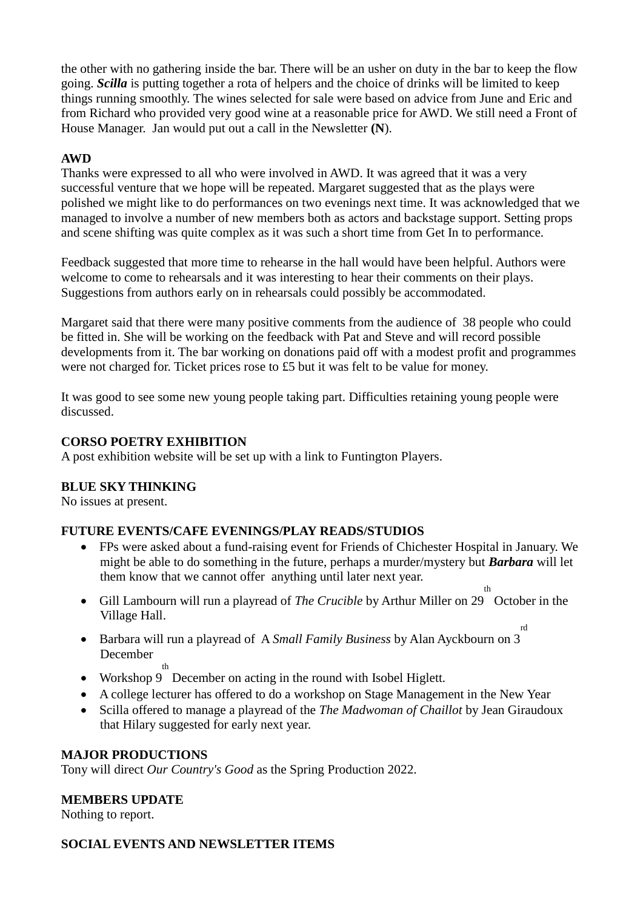the other with no gathering inside the bar. There will be an usher on duty in the bar to keep the flow going. *Scilla* is putting together a rota of helpers and the choice of drinks will be limited to keep things running smoothly. The wines selected for sale were based on advice from June and Eric and from Richard who provided very good wine at a reasonable price for AWD. We still need a Front of House Manager. Jan would put out a call in the Newsletter **(N**).

# **AWD**

Thanks were expressed to all who were involved in AWD. It was agreed that it was a very successful venture that we hope will be repeated. Margaret suggested that as the plays were polished we might like to do performances on two evenings next time. It was acknowledged that we managed to involve a number of new members both as actors and backstage support. Setting props and scene shifting was quite complex as it was such a short time from Get In to performance.

Feedback suggested that more time to rehearse in the hall would have been helpful. Authors were welcome to come to rehearsals and it was interesting to hear their comments on their plays. Suggestions from authors early on in rehearsals could possibly be accommodated.

Margaret said that there were many positive comments from the audience of 38 people who could be fitted in. She will be working on the feedback with Pat and Steve and will record possible developments from it. The bar working on donations paid off with a modest profit and programmes were not charged for. Ticket prices rose to £5 but it was felt to be value for money.

It was good to see some new young people taking part. Difficulties retaining young people were discussed.

### **CORSO POETRY EXHIBITION**

A post exhibition website will be set up with a link to Funtington Players.

# **BLUE SKY THINKING**

No issues at present.

# **FUTURE EVENTS/CAFE EVENINGS/PLAY READS/STUDIOS**

- FPs were asked about a fund-raising event for Friends of Chichester Hospital in January. We might be able to do something in the future, perhaps a murder/mystery but *Barbara* will let them know that we cannot offer anything until later next year.
- Gill Lambourn will run a playread of *The Crucible* by Arthur Miller on 29 October in the th Village Hall.
- Barbara will run a playread of A *Small Family Business* by Alan Ayckbourn on 3 rd December

th

- Workshop 9 December on acting in the round with Isobel Higlett.
- A college lecturer has offered to do a workshop on Stage Management in the New Year
- Scilla offered to manage a playread of the *The Madwoman of Chaillot* by Jean Giraudoux that Hilary suggested for early next year.

### **MAJOR PRODUCTIONS**

Tony will direct *Our Country's Good* as the Spring Production 2022.

# **MEMBERS UPDATE**

Nothing to report.

# **SOCIAL EVENTS AND NEWSLETTER ITEMS**